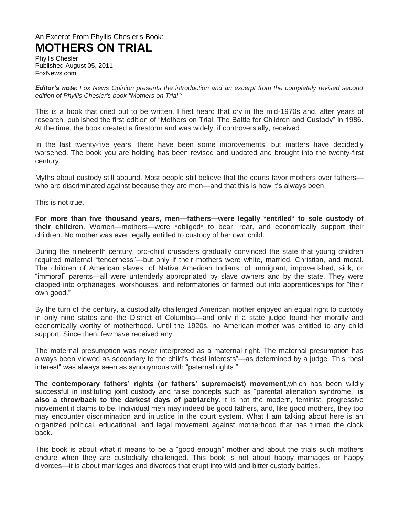## An Excerpt From Phyllis Chesler's Book: **MOTHERS ON TRIAL**

Phyllis Chesler Published August 05, 2011 FoxNews.com

*Editor's note: Fox News Opinion presents the introduction and an excerpt from the completely revised second edition of Phyllis Chesler's book "Mothers on Trial":*

This is a book that cried out to be written. I first heard that cry in the mid-1970s and, after years of research, published the first edition of "Mothers on Trial: The Battle for Children and Custody" in 1986. At the time, the book created a firestorm and was widely, if controversially, received.

In the last twenty-five years, there have been some improvements, but matters have decidedly worsened. The book you are holding has been revised and updated and brought into the twenty-first century.

Myths about custody still abound. Most people still believe that the courts favor mothers over fathers who are discriminated against because they are men—and that this is how it's always been.

This is not true.

**For more than five thousand years, men—fathers—were legally \*entitled\* to sole custody of their children**. Women—mothers—were \*obliged\* to bear, rear, and economically support their children. No mother was ever legally entitled to custody of her own child.

During the nineteenth century, pro-child crusaders gradually convinced the state that young children required maternal "tenderness"—but only if their mothers were white, married, Christian, and moral. The children of American slaves, of Native American Indians, of immigrant, impoverished, sick, or "immoral" parents—all were untenderly appropriated by slave owners and by the state. They were clapped into orphanages, workhouses, and reformatories or farmed out into apprenticeships for "their own good."

By the turn of the century, a custodially challenged American mother enjoyed an equal right to custody in only nine states and the District of Columbia—and only if a state judge found her morally and economically worthy of motherhood. Until the 1920s, no American mother was entitled to any child support. Since then, few have received any.

The maternal presumption was never interpreted as a maternal right. The maternal presumption has always been viewed as secondary to the child's "best interests"—as determined by a judge. This "best interest" was always seen as synonymous with "paternal rights."

**The contemporary fathers' rights (or fathers' supremacist) movement,**which has been wildly successful in instituting joint custody and false concepts such as "parental alienation syndrome," **is also a throwback to the darkest days of patriarchy.** It is not the modern, feminist, progressive movement it claims to be. Individual men may indeed be good fathers, and, like good mothers, they too may encounter discrimination and injustice in the court system. What I am talking about here is an organized political, educational, and legal movement against motherhood that has turned the clock back.

This book is about what it means to be a "good enough" mother and about the trials such mothers endure when they are custodially challenged. This book is not about happy marriages or happy divorces—it is about marriages and divorces that erupt into wild and bitter custody battles.